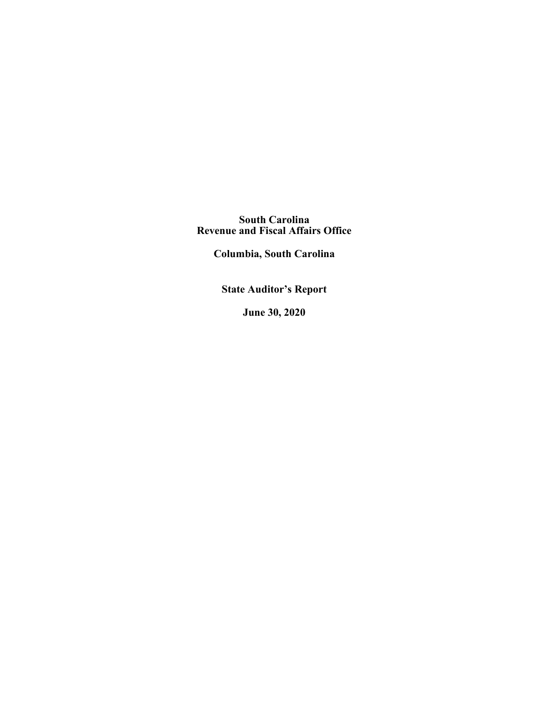**South Carolina Revenue and Fiscal Affairs Office**

**Columbia, South Carolina**

**State Auditor's Report**

**June 30, 2020**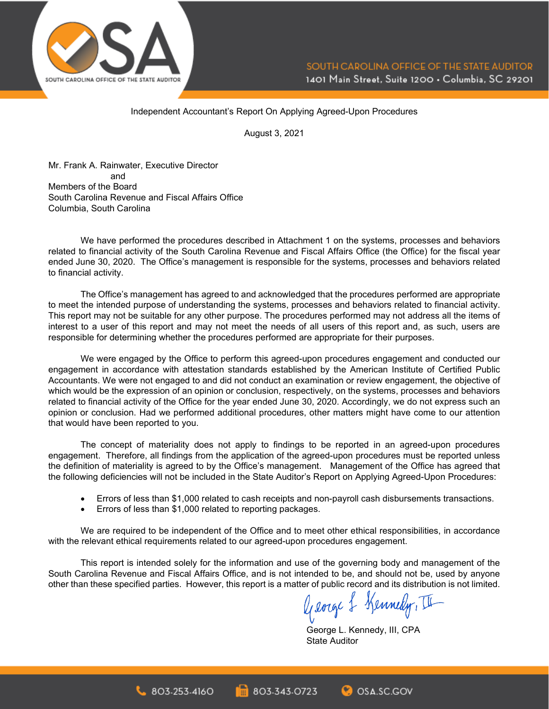

Independent Accountant's Report On Applying Agreed-Upon Procedures

August 3, 2021

Mr. Frank A. Rainwater, Executive Director and Members of the Board South Carolina Revenue and Fiscal Affairs Office Columbia, South Carolina

We have performed the procedures described in Attachment 1 on the systems, processes and behaviors related to financial activity of the South Carolina Revenue and Fiscal Affairs Office (the Office) for the fiscal year ended June 30, 2020. The Office's management is responsible for the systems, processes and behaviors related to financial activity.

The Office's management has agreed to and acknowledged that the procedures performed are appropriate to meet the intended purpose of understanding the systems, processes and behaviors related to financial activity. This report may not be suitable for any other purpose. The procedures performed may not address all the items of interest to a user of this report and may not meet the needs of all users of this report and, as such, users are responsible for determining whether the procedures performed are appropriate for their purposes.

We were engaged by the Office to perform this agreed-upon procedures engagement and conducted our engagement in accordance with attestation standards established by the American Institute of Certified Public Accountants. We were not engaged to and did not conduct an examination or review engagement, the objective of which would be the expression of an opinion or conclusion, respectively, on the systems, processes and behaviors related to financial activity of the Office for the year ended June 30, 2020. Accordingly, we do not express such an opinion or conclusion. Had we performed additional procedures, other matters might have come to our attention that would have been reported to you.

The concept of materiality does not apply to findings to be reported in an agreed-upon procedures engagement. Therefore, all findings from the application of the agreed-upon procedures must be reported unless the definition of materiality is agreed to by the Office's management. Management of the Office has agreed that the following deficiencies will not be included in the State Auditor's Report on Applying Agreed-Upon Procedures:

- Errors of less than \$1,000 related to cash receipts and non-payroll cash disbursements transactions.
- Errors of less than \$1,000 related to reporting packages.

We are required to be independent of the Office and to meet other ethical responsibilities, in accordance with the relevant ethical requirements related to our agreed-upon procedures engagement.

This report is intended solely for the information and use of the governing body and management of the South Carolina Revenue and Fiscal Affairs Office, and is not intended to be, and should not be, used by anyone other than these specified parties. However, this report is a matter of public record and its distribution is not limited.<br> $\text{arg} \left\{\text{arg} \left\{\text{arg} \left\{\text{arg} \left\{\text{arg} \left\{\text{arg} \left\{\text{arg} \left\{\text{arg} \left\{\text{arg} \left\{\text{arg} \left\{\text{arg} \left\{\text{arg} \left\{\$ 

George L. Kennedy, III, CPA State Auditor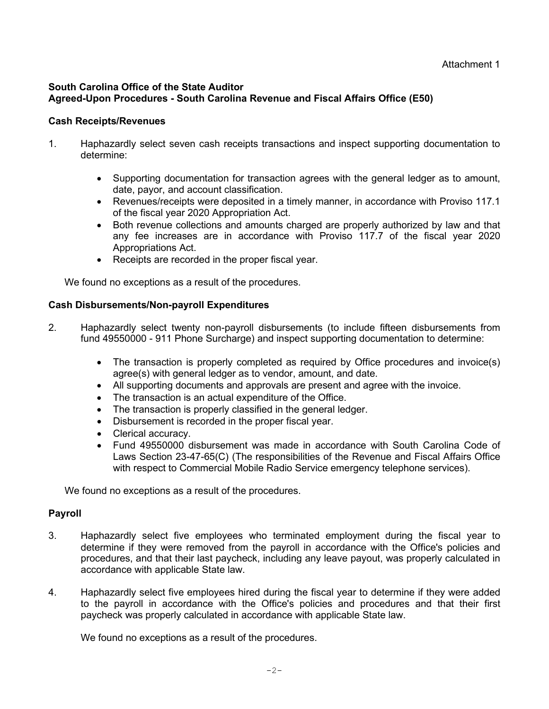# **South Carolina Office of the State Auditor Agreed-Upon Procedures - South Carolina Revenue and Fiscal Affairs Office (E50)**

## **Cash Receipts/Revenues**

- 1. Haphazardly select seven cash receipts transactions and inspect supporting documentation to determine:
	- Supporting documentation for transaction agrees with the general ledger as to amount, date, payor, and account classification.
	- Revenues/receipts were deposited in a timely manner, in accordance with Proviso 117.1 of the fiscal year 2020 Appropriation Act.
	- Both revenue collections and amounts charged are properly authorized by law and that any fee increases are in accordance with Proviso 117.7 of the fiscal year 2020 Appropriations Act.
	- Receipts are recorded in the proper fiscal year.

We found no exceptions as a result of the procedures.

## **Cash Disbursements/Non-payroll Expenditures**

- 2. Haphazardly select twenty non-payroll disbursements (to include fifteen disbursements from fund 49550000 - 911 Phone Surcharge) and inspect supporting documentation to determine:
	- The transaction is properly completed as required by Office procedures and invoice(s) agree(s) with general ledger as to vendor, amount, and date.
	- All supporting documents and approvals are present and agree with the invoice.
	- The transaction is an actual expenditure of the Office.
	- The transaction is properly classified in the general ledger.
	- Disbursement is recorded in the proper fiscal year.
	- Clerical accuracy.
	- Fund 49550000 disbursement was made in accordance with South Carolina Code of Laws Section 23-47-65(C) (The responsibilities of the Revenue and Fiscal Affairs Office with respect to Commercial Mobile Radio Service emergency telephone services).

We found no exceptions as a result of the procedures.

# **Payroll**

- 3. Haphazardly select five employees who terminated employment during the fiscal year to determine if they were removed from the payroll in accordance with the Office's policies and procedures, and that their last paycheck, including any leave payout, was properly calculated in accordance with applicable State law.
- 4. Haphazardly select five employees hired during the fiscal year to determine if they were added to the payroll in accordance with the Office's policies and procedures and that their first paycheck was properly calculated in accordance with applicable State law.

We found no exceptions as a result of the procedures.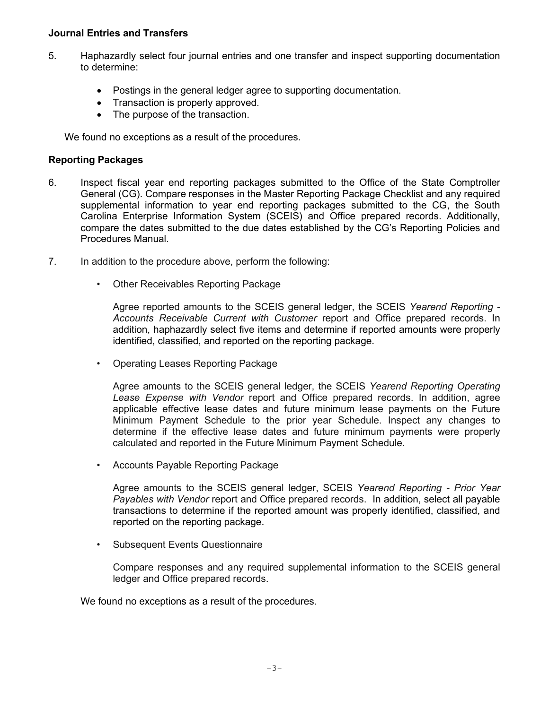### **Journal Entries and Transfers**

- 5. Haphazardly select four journal entries and one transfer and inspect supporting documentation to determine:
	- Postings in the general ledger agree to supporting documentation.
	- Transaction is properly approved.
	- The purpose of the transaction.

We found no exceptions as a result of the procedures.

## **Reporting Packages**

- 6. Inspect fiscal year end reporting packages submitted to the Office of the State Comptroller General (CG). Compare responses in the Master Reporting Package Checklist and any required supplemental information to year end reporting packages submitted to the CG, the South Carolina Enterprise Information System (SCEIS) and Office prepared records. Additionally, compare the dates submitted to the due dates established by the CG's Reporting Policies and Procedures Manual.
- 7. In addition to the procedure above, perform the following:
	- Other Receivables Reporting Package

Agree reported amounts to the SCEIS general ledger, the SCEIS *Yearend Reporting - Accounts Receivable Current with Customer* report and Office prepared records. In addition, haphazardly select five items and determine if reported amounts were properly identified, classified, and reported on the reporting package.

• Operating Leases Reporting Package

Agree amounts to the SCEIS general ledger, the SCEIS *Yearend Reporting Operating Lease Expense with Vendor* report and Office prepared records. In addition, agree applicable effective lease dates and future minimum lease payments on the Future Minimum Payment Schedule to the prior year Schedule. Inspect any changes to determine if the effective lease dates and future minimum payments were properly calculated and reported in the Future Minimum Payment Schedule.

• Accounts Payable Reporting Package

Agree amounts to the SCEIS general ledger, SCEIS *Yearend Reporting - Prior Year Payables with Vendor* report and Office prepared records. In addition, select all payable transactions to determine if the reported amount was properly identified, classified, and reported on the reporting package.

• Subsequent Events Questionnaire

Compare responses and any required supplemental information to the SCEIS general ledger and Office prepared records.

We found no exceptions as a result of the procedures.